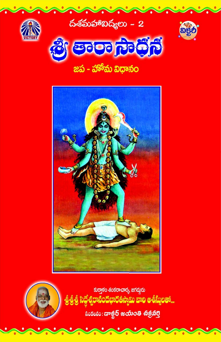



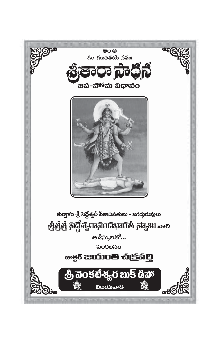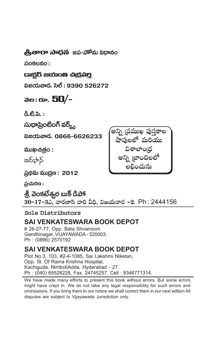**.ప్రీతారా సాదన** జప-హాామ విదానం

సంకలనం:

#### යෘඡූරි සරාංෂ ස්පු්කිව

విజయవాడ. సెల్ : 9390 526272

### බ**e**: හං. 50/-

డి.టి.పి. :

సుధాప్రింటింగ్ వర్,

ವಿಜಯವಾದೆ. 0866-6626233

ముఖచిత్రం :

 $2\delta \rightarrow 5$ 

ప్రథమ ముద్రణ : 2012

 $\Delta$ చురణ:

<u> శ్రీ</u> వెంకటేశ<sub>్</sub>ర బుక్ డిపా్

30-17-3ఎ, వారణాసి వారి వీధి, విజయవాద -2. Ph: 2444156

Sole Distributors

#### **SAI VENKATESWARA BOOK DEPOT**

# 26-27-77. Opp. Bata Showroom Gandhinagar, VIJAYAWADA - 520003. Ph: (0866) 2570192

#### **SAI VENKATESWARA BOOK DEPOT**

Plot No.3, 103, #2-4-1085, Sai Lakshmi Niketan, Opp. St. Of Rama Krishna Hospital, Kachiguda, NimboliAdda, Hyderabad - 27. Ph: (040) 65528228, Fax. 24745257, Cell: 9346771314.

We have made many efforts to present this book without errors. But some errors might have crept in. We do not take any legal responsibility for such errors and ominissions. If you bring them to our notice we shall correct them in our next edition All disputes are subject to Vijayawada Jurisdiction only.

అన్ని (పముఖ పుస్తకాల షాపులలో మరియు లబించును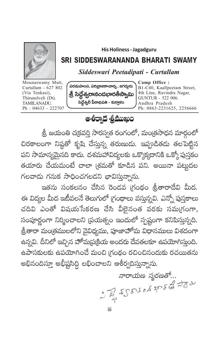

**His Holiness - Jagadguru** 

#### SRI SIDDESWARANANDA BHARATI SWAMY

#### Siddeswari Peetadipati - Curtallam

Mounaswamy Mutt, Curtallam - 627 802 (Via Tenkasi), Thirunelveli (Dt). TAMILANADU.  $Ph: 04633 - 222707$ 



Camp Office: B1-C40, Kaallpeetam Street, 4th Line, Ravindra Nagar, **GUNTUR - 522 006.** Andhra Pradesh Ph: 0863-2231625, 2256666

#### ఆశీర్యాధ శ్రీముఖం

శ్రీ, జయంతి చ(కవర్తి సారస్వత రంగంలో, మంత్రసాధన మార్గంలో చిరకాలంగా నిష్ఠతో కృషి చేసున్న తరుణుడు. ఇప్పడితడు తలపెట్టిన పని సామాన్యమైనది కాదు. దశమహావిద్యలకు ఒక్కొక్కదానికి ఒక్కో పుస్తకం తయారు చేయమంటే చాలా (శమతో కూడిన పని. అయినా పట్టుదల గలవాడు గనుక సాధించగలడని భావిస్తున్నాను.

ఇతను సంకలనం చేసిన రెండవ గ్రంథం శ్రీతారాదేవి మీద. ఈ విద్యల మీద ఇటీవలనే తెలుగులో (గంథాలు వస్తున్నవి. ఎన్నో పుస్తకాలు చదివి ఎంతో విషయసేకరణ చేసి వీలైనంత వరకు సమ్మగంగా, సంపూర్ణంగా నిర్మించాలని (పయత్నం ఇందులో స్పష్టంగా కనిపిస్తున్నది. , త్రీతారా మంత్రములలోని వైవిధ్యము, పూజాహోమ విధానములు విశదంగా ఉన్నవి. దీనిలో ఇచ్చిన హోమ[పక్రియ అందరు దేవతలకూ ఉపయోగిస్తుంది. ఉపాసకులకు ఉపయోగించే మంచి గ్రంథం రచించినందుకు రచయితను అభినందిస్తూ అభీష్టసిద్ది లభించాలని ఆశీర్వదిస్తున్నాను.

నారాయణ స్మరణతో... of world weddy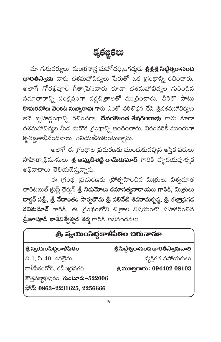కృతజ్ఞతలు

మా గురువర్యులు–మంత్రశాస్త్ర మహోదధి,జగద్గురు **శ్రీశ్రీశ్రీ సిద్ధేశ్వరాసంద భారతీస్యామి** వారు దశమహావిద్యలు పేరుతో ఒక గ్రంథాన్ని రచించారు. అలాగే గోరఖ్పూర్ గీతా(పెస్వారు కూడా దశమహావిద్యల గురించిన సమాచారాన్ని సంక్షిప్తంగా వర్ణచిత్రాలతో ముద్రించారు. వీరితో పాటు **కాచురవాలు వెంకట సుబ్బారావు** గారు ఎంతో పరిశోధన చేసి శ్రీదశమహావిద్యలు అనే బృహద్గంథాన్ని రచించగా, **దేవరకాండ శేషగిలరావు** గారు కూడా దశమహావిద్యల మీద మరొక గ్రంథాన్ని అందించారు. వీరందరికీ ముందుగా కృతజ్ఞతాభివందనాలు తెలియజేసుకుంటున్నాను.

అలాగే ఈ గ్రంథాల (పచురణకు ముందుకువచ్చిన ఆస్తిక వరులు సాహిత్యాభిమానులు **శ్రీ ఇమ్కడిశెట్టి రామ్కుమార్** గారికి హృదయపూర్వక అభివాదాలు తెలియజేస్తున్నాను.

ఈ గ్రంథ ప్రచురణకు ప్రోత్సహించిన మిత్రులు విశ్వమాత ఛారిటబుల్ ట్రస్ట్ ఛైర్మన్ <mark>శ్రీ నిడుమోలు రమాసత్యనారాయణ గారికి,</mark> మిత్రులు దాక్టర్ సత్రీ, త్రీ వేదాంతం సార్వభౌమ త్రీ వలివేటి శివరామకృష్ణ, త్రీ తల్లాద్రగడ రవికుమార్ గారికి, ఈ గ్రంథంలోని చిత్రాల విషయంలో సహకరించిన <mark>శ్రీజూపూడి కాశీవిశ్వేశ్వర శర్మ</mark> గారికి అభినందనలు.

## త్రీ స్యయంసిద్ధకాళీపీఠం చిరునామా

#### శ్రీ స్వయంసిద్ధకాళీపీఠం

బి. 1, సి. 40, 4వలైను,

శ్రీ సిద్ధేశ్వరాసంద భారతీస్యామివాలి

వ్యక్తిగత సహాయకులు

కాళీపీఠంరోడ్, రవీంద్రనగర్

ಕ್ಷೆ ಮಾಲ್ಡಿಗಾರು:  $09440208103$ 

కొత్తపట్టాభిపురం. గుంటూరు-522006

ಭ್: 0863-2231625, 2256666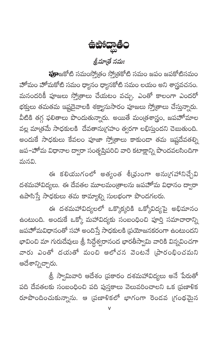

**పూ**జకోటి సమంస్కోతం స్కోతకోటి సమం జపం జపకోటిసమం హోమం హోమకోటి సమం ధ్యానం ధ్యానకోటి సమం లయం అని శాస్త్రవచనం. మనందరికీ పూజలు స్త్రోతాలు చేయటం వచ్చు. ఎంతో కాలంగా ఎందరో భక్తులు తమతమ ఇష్టదైవాలకి శక్యానుసారం పూజలు స్తో[తాలు చేస్తున్నారు. వీటికి తగ్గ ఫలితాలు పొందుతున్నారు. అయితే మంత్రశాస్త్రం, జపహోమాల వల్ల మాత్రమే సాధకులకి దేవతానుగ్రహం త్వరగా లభిస్తుందని చెబుతుంది. అందుకే సాధకులు కేవలం పూజా స్తో(తాలు కాకుండా తమ ఇష్టదేవతల్ని జప–హోమ విధానాల ద్వారా సంతృప్తిపరిచి వారి కటాక్షాన్ని పొందవలసిందిగా మనవి.

ఈ కలియుగంలో అత్యంత శీఝ్రంగా అను(గహానిచ్చేవి దశమహావిద్యలు. ఈ దేవతల మూలమం[తాలను జపహోమ విధానం ద్వారా ఉపాసిస్తే సాధకులు తమ కామ్యాల్ని సులభంగా పొందగలరు.

ఈ దశమహావిద్యలలో ఒక్కొక్కరికి ఒక్కోవిద్యపై అభిమానం ఉంటుంది. అందుకే ఒక్కో మహావిద్యకు సంబంధించి పూర్తి సమాచారాన్ని జపహోమవిధానంతో సహా అందిస్తే సాధకులకి (పయోజనకరంగా ఉంటుందని భావించి మా గురుదేవులు శ్రీ సిద్దేశ్వరానంద భారతీస్వామి వారికి విన్నవించగా వారు ఎంతో దయతో మంచి ఆలోచన వెంటనే <sub>(</sub>పారంభించమని ఆదేశాన్నిచ్చారు.

.<br>త్రీ స్వామివారి ఆదేశం <sub>(</sub>పకారం దశమహావిద్యలు అనే పేరుతో పది దేవతలకు సంబంధించి పది పుస్తకాలు వెలువరించాలని ఒక (పణాళిక రూపొందించుకున్నాను. ఆ (పణాళికలో భాగంగా రెండవ (గంథమైన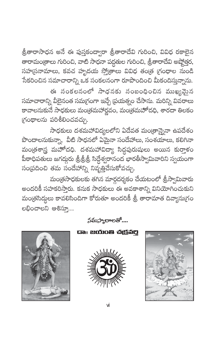<mark>త్రీతారాసాధన అనే ఈ పుస్తకంద్వారా త్రీతారాదేవి గు</mark>రించి, వివిధ రకాలైన తారామం(తాలు గురించి, వాటి సాధనా పద్ధతుల గురించి, శ్రీతారాదేవి అష్కోత్తర, సహ(సనామాలు, కవచ హృదయ స్కోతాలు వివిధ తంత్ర గ్రంధాల సుండి .<br>సేకరించిన సమాచారాన్ని ఒక సంకలనంగా రూపొందించి మీకందిస్తున్నాను.

ఈ సంకలనంలో సాధనకు సంబంధించిన ముఖ్యమైన సమాచారాన్ని వీలైనంత సమగ్రంగా ఇచ్చే (పయత్నం చేసాను. మరిన్ని వివరాలు కావాలనుకునే సాధకులు మంత్రమహార్ణవం, మంత్రమహోదధి, శారదా తిలకం గ్రంథాలను పరిశీలించవచ్చు.

సాధకులు దశమహావిద్యలలోని ఏదేవత మం[తాన్నైనా ఉపదేశం .<br>పొందాలనుకున్నా, వీటి సాధనలో ఏమైనా సందేహాలు, సంశయాలు, కలిగినా మండ్రశాస్త్ర మహోదధి. దశమహావిద్యా సిద్ధపురుషులు అయిన కురా్తకం పీఠాధిపతులు జగద్గురు త్రీత్రీత్రీ సిద్ధేశ్వరానంద భారతీస్వామివారిని స్వయంగా సంప్రదించి తమ సందేహాన్ని నివృత్తిచేసుకోవచ్చు.

మంత్రసాధకులకు తగిన మార్గదర్శకం చేయటంలో శ్రీస్వామివారు అందరికీ సహకరిస్తారు. కనుక సాధకులు ఈ అవకాశాన్ని వినియోగించుకుని మంత్రసిద్దలు కావలిసిందిగా కోరుతూ అందరికీ శ్రీ తారామాత దివ్యానుగ్రం లభించాలని ఆశిసూ...



నమస్మారాలతో....

යං සරාංෂ ස්ලි්කිවූ



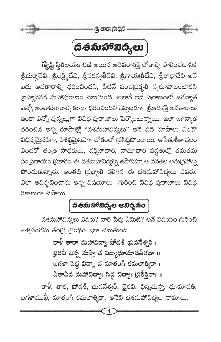

## 

గృ్తష్టి స్థితిలయకారిణి అయిన ఆదిపరాశక్తి లోకాల్ని పాలించటానికి ,<br>శ్రీదుర్గాదేవి, శ్రీలక్ష్మీదేవి, శ్రీసరస్వతీదేవి, శ్రీగాయ(తీదేవి, శ్రీరాధాదేవి అనే ఐదు అవతారాల్ని ధరించిందని, వీటినే పంచ[పకృతి స్వరూపాలంటారని (బహ్మవైవర్త మహాపురాణం చెబుతుంది. అలాగే ఇదే పురాణంలో జగన్మాత ఎన్నో అంశావతారాల్ని కూడా ధరించిందని చెప్పబడగా, శ్రీఆదిశక్తి అవతారాలు ఇంకా ఎన్నో వున్నట్లుగా వివిధ పురాణాలు పేర్కొంటున్నాయి. ఇలా జగన్మాత ధరించిన అన్ని రూపాల్లో "దశమహావిద్యలు" అనే పది రూపాలు ఎంతో విభిన్నమైనవిగా, విశిష్ఠమైనవిగా లోకంలో (పసిద్దిపొందాయి. ఆసేతుశీతాచలం ఎందరో తంత్ర సాధకులు, దక్షిణాచార, వామాచార పద్ధతుల్లో తమతమ సం[పదాయం [పకారం ఈ దశమహావిద్యల్ని ఉపాసిస్తూ ఆ దేవతల అను[గహాన్ని పొందుతున్నారు. ఇంతటి (పఖ్యాతి కలిగిన ఈ దశమహావిద్యలు ఎవరు, ఎలా ఆవిర్భవించారు అన్న విషయాలు గురించి వివిధ పురాణాలు వివిధ ರಕಾಲುಗಾ ವಹನಾಯಿ.

## 

దశమహావిద్యలు ఎవరు? వారి పేర్లు ఏమిటి? అనే విషయం గురించి శాక్తసంగమ తంత్ర గ్రంథం ఇలా చెబుతుంది.

> కాళీ తారా మహావిద్యా షోడశీ భువనేశ్వరీ । భైరవీ ఛిన్న మస్తా చ విద్యాధూమావతీతధా <mark>॥</mark> బగళా సిద్ధ విద్యా చ మాతంగీ కమలాత్మికా । ఏతాఏవ మహావిద్యాః సిద్ధ విద్యాః (పకీర్తితాః ॥

కాళీ, తార, షోడశీ, భువనేశ్వరీ, భైరవీ, ఛిన్నమస్తా, ధూమావతీ, బగళాముఖీ, మాతంగీ కమలాత్మికా. అనేవి దశమహావిద్యల నామాలు.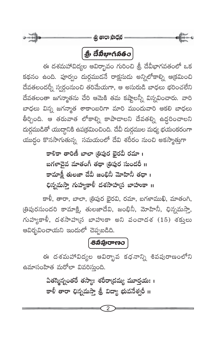

### $\left[\begin{matrix} \frac{\partial}{\partial \theta} & \frac{\partial}{\partial \theta} \frac{\partial}{\partial \phi} & \frac{\partial}{\partial \phi} \frac{\partial}{\partial \phi} & \frac{\partial}{\partial \phi} \frac{\partial}{\partial \phi} & \frac{\partial}{\partial \phi} \frac{\partial}{\partial \phi} & \frac{\partial}{\partial \phi} \frac{\partial}{\partial \phi} & \frac{\partial}{\partial \phi} \frac{\partial}{\partial \phi} & \frac{\partial}{\partial \phi} \frac{\partial}{\partial \phi} & \frac{\partial}{\partial \phi} \frac{\partial}{\partial \phi} & \frac{\partial}{\partial \phi} & \frac{\partial}{\partial \phi} \frac{\partial}{\partial \phi} & \$

ఈ దశమహావిద్యల ఆవిర్భావం గురించి శ్రీ దేవీభాగవతంలో ఒక కథనం ఉంది. పూర్వం దుర్గముడనే రాక్షసుడు అన్నిలోకాల్ని ఆక్రమించి దేవతలందర్నీ స్వర్గంనుంచి తరిమేయగా, ఆ అసురుడి బాధలు భరించలేని దేవతలంతా జగన్మాతను చేరి ఆమెకి తమ కష్టాలన్నీ విన్నవించారు. వార<mark>ి</mark> బాధలు విన్న జగన్మాత శాకాంబరిగా మారి ముందువారి ఆకలి బాధలు తీర్చింది. ఆ తరువాత లోకాల్ని కాపాడాలని దేవతల్ని ఉద్ధరించాలని దుర్గముడితో యుద్దానికి ఉపక్రమించింది. దేవీ దుర్గముల మధ్య భయంకరంగా యుద్ధం కొనసాగుతున్న సమయంలో దేవి శరీరం నుంచి అకస్మాత్తుగా

> కాళికా తారిణీ బాలా త్రిపుర భైరవీ రమా । బగళాచైవ మాతంగీ తథా త<mark>్</mark>రిపుర సుందరీ ॥ కామాక్షీ తులజా దేవీ జంభినీ మోహినీ తధా । భిన్నమస్తా గుహ్యకాళీ దశసాహ్య బాహుకా ॥

కాళీ, తారా, బాలా, త్రిపుర భైరవి, రమా, బగళాముఖి, మాతంగి, త్రిపురసుందరి కామాక్షి, తులజాదేవి, జంభినీ, మోహినీ, ఛిన్నమస్త<mark>్</mark>తి, గుహ్యకాళీ, దశసాహ్మన బాహుకా అని పంచాదశ (15) శక్తులు ఆవిర్భవించాయని ఇందులో చెప్పబడిది.

### | පිබ්බාෆෑෲට |

ఈ దశమహావిద్యల ఆవిర్భావ కధనాన్ని శివపురాణంలోని ఉమాసంహిత మరోలా వివరిస్తుంది.

> ఏతస్మిన్నంతరే తస్యాః శరీరాద్రమ్య మూర్తయః । కాళీ తారా ఛిన్నమస్తా త్రీ విద్యా భువనేశ్వరీ <mark>॥</mark>